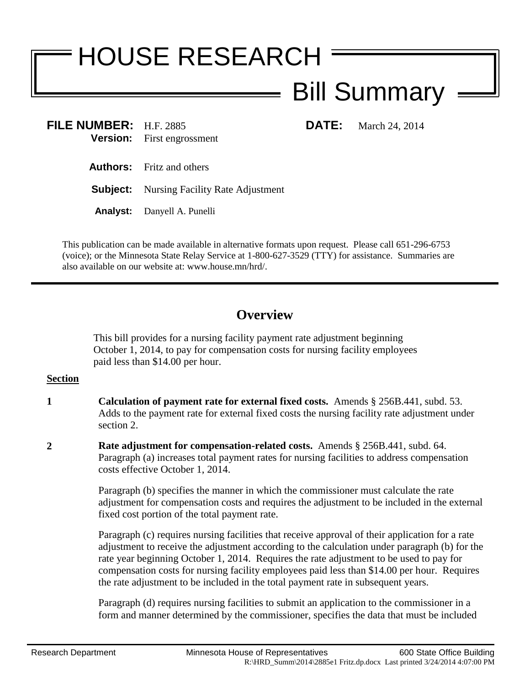# HOUSE RESEARCH

# Bill Summary

**FILE NUMBER:** H.F. 2885 **DATE:** March 24, 2014 **Version:** First engrossment

- **Authors:** Fritz and others
- **Subject:** Nursing Facility Rate Adjustment
- **Analyst:** Danyell A. Punelli

This publication can be made available in alternative formats upon request. Please call 651-296-6753 (voice); or the Minnesota State Relay Service at 1-800-627-3529 (TTY) for assistance. Summaries are also available on our website at: www.house.mn/hrd/.

## **Overview**

This bill provides for a nursing facility payment rate adjustment beginning October 1, 2014, to pay for compensation costs for nursing facility employees paid less than \$14.00 per hour.

### **Section**

- **1 Calculation of payment rate for external fixed costs.** Amends § 256B.441, subd. 53. Adds to the payment rate for external fixed costs the nursing facility rate adjustment under section 2.
- **2 Rate adjustment for compensation-related costs.** Amends § 256B.441, subd. 64. Paragraph (a) increases total payment rates for nursing facilities to address compensation costs effective October 1, 2014.

Paragraph (b) specifies the manner in which the commissioner must calculate the rate adjustment for compensation costs and requires the adjustment to be included in the external fixed cost portion of the total payment rate.

Paragraph (c) requires nursing facilities that receive approval of their application for a rate adjustment to receive the adjustment according to the calculation under paragraph (b) for the rate year beginning October 1, 2014. Requires the rate adjustment to be used to pay for compensation costs for nursing facility employees paid less than \$14.00 per hour. Requires the rate adjustment to be included in the total payment rate in subsequent years.

Paragraph (d) requires nursing facilities to submit an application to the commissioner in a form and manner determined by the commissioner, specifies the data that must be included